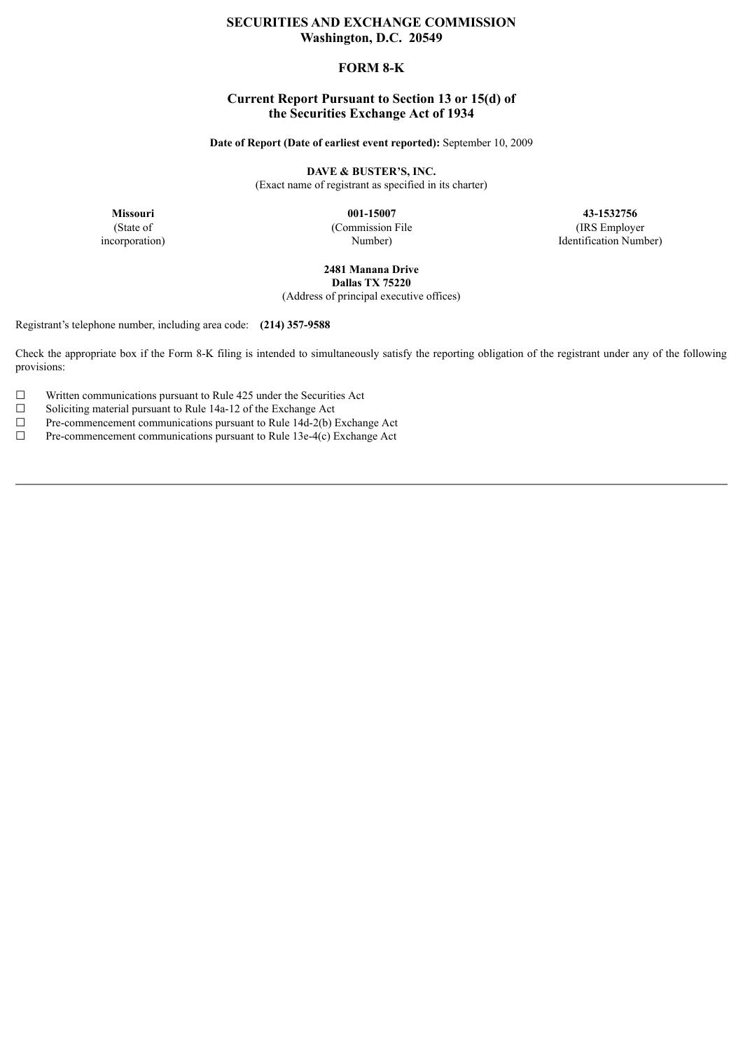# **SECURITIES AND EXCHANGE COMMISSION Washington, D.C. 20549**

# **FORM 8-K**

# **Current Report Pursuant to Section 13 or 15(d) of the Securities Exchange Act of 1934**

**Date of Report (Date of earliest event reported):** September 10, 2009

**DAVE & BUSTER'S, INC.**

(Exact name of registrant as specified in its charter)

**Missouri**

(State of incorporation)

**001-15007** (Commission File Number)

**43-1532756** (IRS Employer Identification Number)

**2481 Manana Drive Dallas TX 75220**

(Address of principal executive offices)

Registrant's telephone number, including area code: **(214) 357-9588**

Check the appropriate box if the Form 8-K filing is intended to simultaneously satisfy the reporting obligation of the registrant under any of the following provisions:

 $\Box$  Written communications pursuant to Rule 425 under the Securities Act

□ Soliciting material pursuit to Rule 14a-12 of the Exchange Act <math display="inline">\Box</math> Pre-component communications pursuit to Rule 14d-2(b)

 $\Box$  Pre-commencement communications pursuant to Rule 14d-2(b) Exchange Act Pre-commencement communications pursuant to Rule 13e-4(c) Exchange Act

Pre-commencement communications pursuant to Rule 13e-4(c) Exchange Act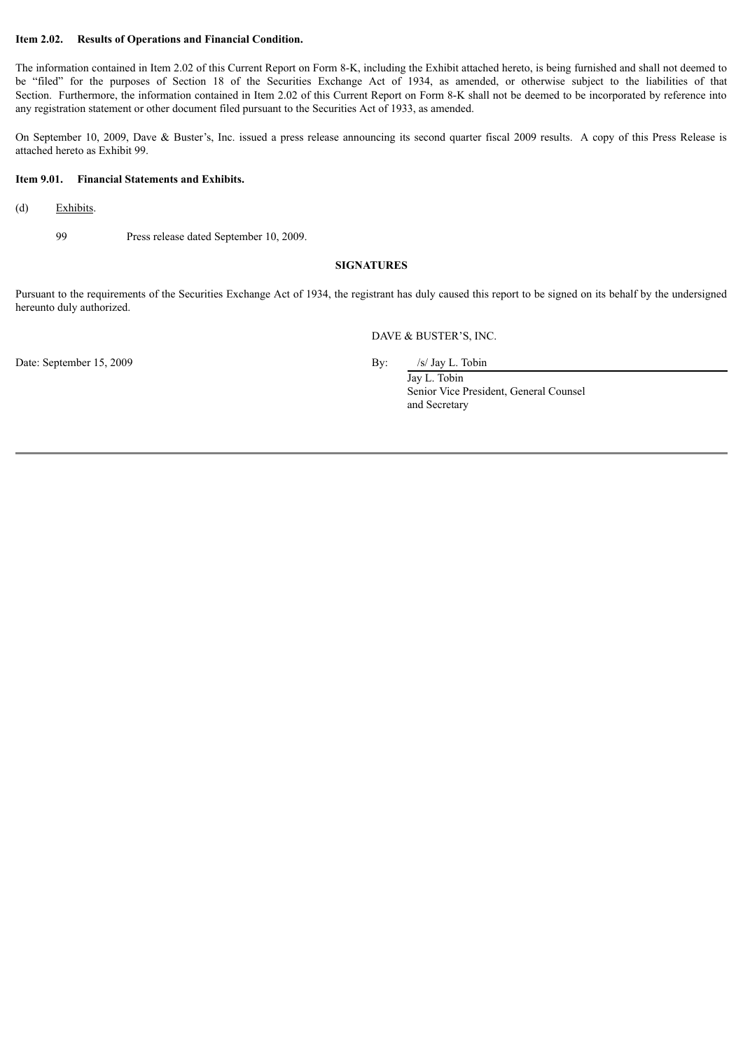#### **Item 2.02. Results of Operations and Financial Condition.**

The information contained in Item 2.02 of this Current Report on Form 8-K, including the Exhibit attached hereto, is being furnished and shall not deemed to be "filed" for the purposes of Section 18 of the Securities Exchange Act of 1934, as amended, or otherwise subject to the liabilities of that Section. Furthermore, the information contained in Item 2.02 of this Current Report on Form 8-K shall not be deemed to be incorporated by reference into any registration statement or other document filed pursuant to the Securities Act of 1933, as amended.

On September 10, 2009, Dave & Buster's, Inc. issued a press release announcing its second quarter fiscal 2009 results. A copy of this Press Release is attached hereto as Exhibit 99.

#### **Item 9.01. Financial Statements and Exhibits.**

- (d) Exhibits.
	- 99 Press release dated September 10, 2009.

#### **SIGNATURES**

Pursuant to the requirements of the Securities Exchange Act of 1934, the registrant has duly caused this report to be signed on its behalf by the undersigned hereunto duly authorized.

DAVE & BUSTER'S, INC.

Date: September 15, 2009 By: /s/ Jay L. Tobin

Jay L. Tobin Senior Vice President, General Counsel and Secretary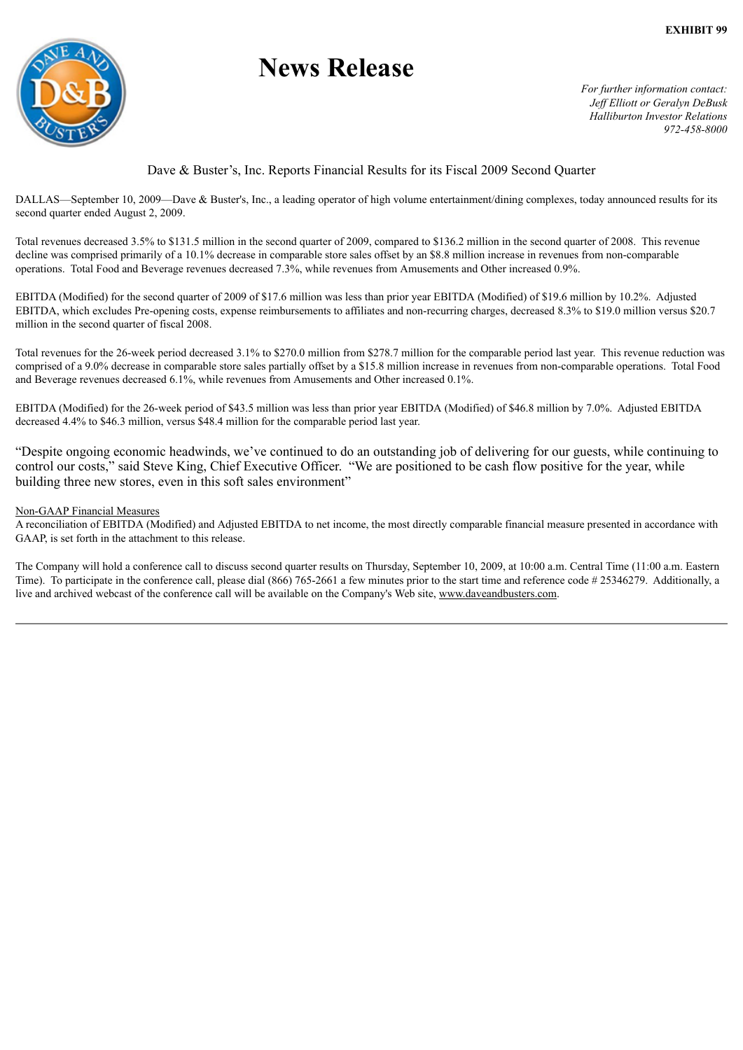

# **News Release**

*For further information contact: Jef Elliott or Geralyn DeBusk Halliburton Investor Relations 972-458-8000*

# Dave & Buster's, Inc. Reports Financial Results for its Fiscal 2009 Second Quarter

DALLAS—September 10, 2009—Dave & Buster's, Inc., a leading operator of high volume entertainment/dining complexes, today announced results for its second quarter ended August 2, 2009.

Total revenues decreased 3.5% to \$131.5 million in the second quarter of 2009, compared to \$136.2 million in the second quarter of 2008. This revenue decline was comprised primarily of a 10.1% decrease in comparable store sales offset by an \$8.8 million increase in revenues from non-comparable operations. Total Food and Beverage revenues decreased 7.3%, while revenues from Amusements and Other increased 0.9%.

EBITDA (Modified) for the second quarter of 2009 of \$17.6 million was less than prior year EBITDA (Modified) of \$19.6 million by 10.2%. Adjusted EBITDA, which excludes Pre-opening costs, expense reimbursements to affiliates and non-recurring charges, decreased 8.3% to \$19.0 million versus \$20.7 million in the second quarter of fiscal 2008.

Total revenues for the 26-week period decreased 3.1% to \$270.0 million from \$278.7 million for the comparable period last year. This revenue reduction was comprised of a 9.0% decrease in comparable store sales partially offset by a \$15.8 million increase in revenues from non-comparable operations. Total Food and Beverage revenues decreased 6.1%, while revenues from Amusements and Other increased 0.1%.

EBITDA (Modified) for the 26-week period of \$43.5 million was less than prior year EBITDA (Modified) of \$46.8 million by 7.0%. Adjusted EBITDA decreased 4.4% to \$46.3 million, versus \$48.4 million for the comparable period last year.

"Despite ongoing economic headwinds, we've continued to do an outstanding job of delivering for our guests, while continuing to control our costs," said Steve King, Chief Executive Officer. "We are positioned to be cash flow positive for the year, while building three new stores, even in this soft sales environment"

## Non-GAAP Financial Measures

A reconciliation of EBITDA (Modified) and Adjusted EBITDA to net income, the most directly comparable financial measure presented in accordance with GAAP, is set forth in the attachment to this release.

The Company will hold a conference call to discuss second quarter results on Thursday, September 10, 2009, at 10:00 a.m. Central Time (11:00 a.m. Eastern Time). To participate in the conference call, please dial (866) 765-2661 a few minutes prior to the start time and reference code # 25346279. Additionally, a live and archived webcast of the conference call will be available on the Company's Web site, www.daveandbusters.com.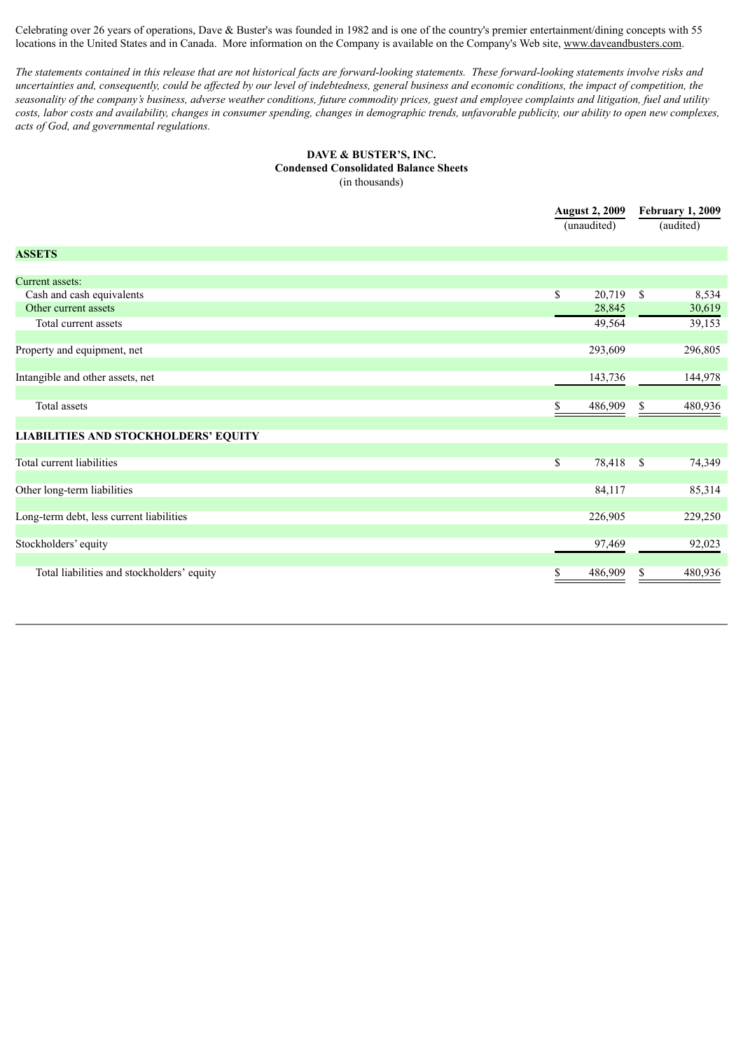Celebrating over 26 years of operations, Dave & Buster's was founded in 1982 and is one of the country's premier entertainment/dining concepts with 55 locations in the United States and in Canada. More information on the Company is available on the Company's Web site, www.daveandbusters.com.

The statements contained in this release that are not historical facts are forward-looking statements. These forward-looking statements involve risks and uncertainties and, consequently, could be affected by our level of indebtedness, general business and economic conditions, the impact of competition, the seasonality of the company's business, adverse weather conditions, future commodity prices, guest and employee complaints and litigation, fuel and utility costs, labor costs and availability, changes in consumer spending, changes in demographic trends, unfavorable publicity, our ability to open new complexes, *acts of God, and governmental regulations.*

#### **DAVE & BUSTER'S, INC. Condensed Consolidated Balance Sheets** (in thousands)

|                                             | <b>August 2, 2009</b><br>(unaudited) |               | <b>February 1, 2009</b><br>(audited) |  |
|---------------------------------------------|--------------------------------------|---------------|--------------------------------------|--|
| <b>ASSETS</b>                               |                                      |               |                                      |  |
| Current assets:                             |                                      |               |                                      |  |
| Cash and cash equivalents                   | \$<br>20,719                         | $\mathcal{S}$ | 8,534                                |  |
| Other current assets                        | 28,845                               |               | 30,619                               |  |
| Total current assets                        | 49,564                               |               | 39,153                               |  |
| Property and equipment, net                 | 293,609                              |               | 296,805                              |  |
| Intangible and other assets, net            | 143,736                              |               | 144,978                              |  |
| Total assets                                | 486,909                              | \$            | 480,936                              |  |
| <b>LIABILITIES AND STOCKHOLDERS' EQUITY</b> |                                      |               |                                      |  |
| Total current liabilities                   | \$<br>78,418                         | <b>S</b>      | 74,349                               |  |
| Other long-term liabilities                 | 84,117                               |               | 85,314                               |  |
| Long-term debt, less current liabilities    | 226,905                              |               | 229,250                              |  |
| Stockholders' equity                        | 97,469                               |               | 92,023                               |  |
| Total liabilities and stockholders' equity  | \$<br>486,909                        | \$            | 480,936                              |  |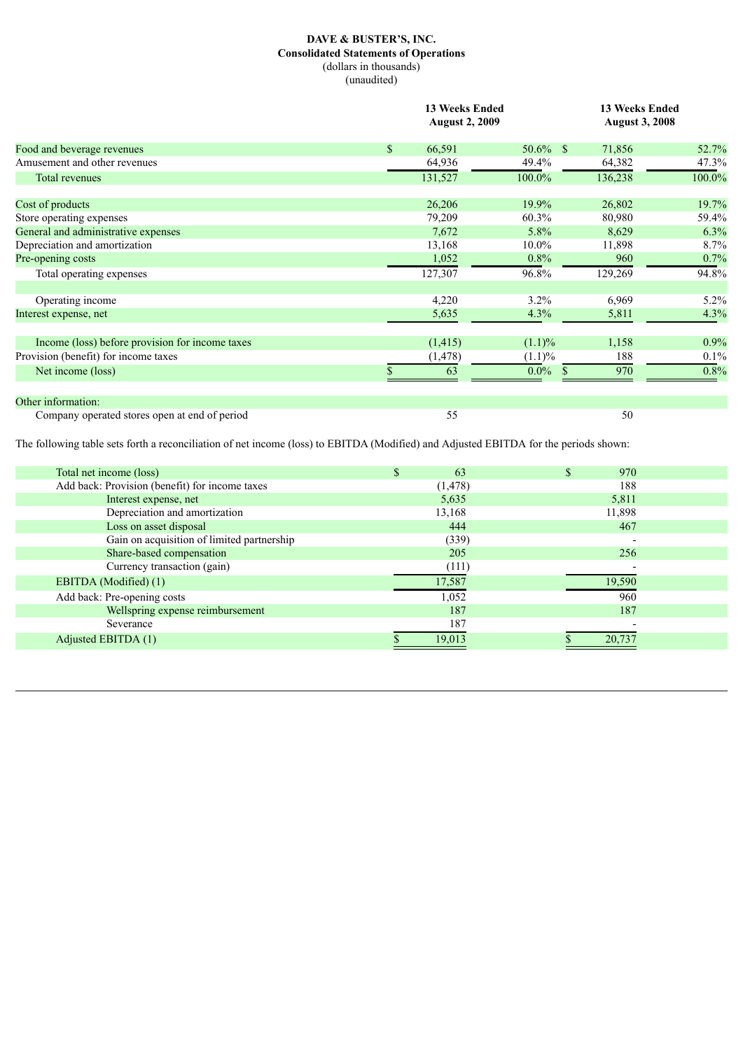## **DAVE & BUSTER'S, INC. Consolidated Statements of Operations** (dollars in thousands) (unaudited)

|                                                 |              | <b>13 Weeks Ended</b><br><b>August 2, 2009</b> |                          |         | <b>13 Weeks Ended</b><br><b>August 3, 2008</b> |  |  |
|-------------------------------------------------|--------------|------------------------------------------------|--------------------------|---------|------------------------------------------------|--|--|
| Food and beverage revenues                      | $\mathbb{S}$ | 66,591                                         | $50.6\%$ \$              | 71,856  | 52.7%                                          |  |  |
| Amusement and other revenues                    |              | 64,936                                         | 49.4%                    | 64,382  | 47.3%                                          |  |  |
| <b>Total revenues</b>                           |              | 131,527                                        | 100.0%                   | 136,238 | 100.0%                                         |  |  |
| Cost of products                                |              | 26,206                                         | 19.9%                    | 26,802  | 19.7%                                          |  |  |
| Store operating expenses                        |              | 79,209                                         | $60.3\%$                 | 80,980  | 59.4%                                          |  |  |
| General and administrative expenses             |              | 7,672                                          | 5.8%                     | 8,629   | 6.3%                                           |  |  |
| Depreciation and amortization                   |              | 13,168                                         | $10.0\%$                 | 11,898  | 8.7%                                           |  |  |
| Pre-opening costs                               |              | 1,052                                          | $0.8\%$                  | 960     | 0.7%                                           |  |  |
| Total operating expenses                        |              | 127,307                                        | 96.8%                    | 129,269 | 94.8%                                          |  |  |
| Operating income                                |              | 4,220                                          | $3.2\%$                  | 6,969   | $5.2\%$                                        |  |  |
| Interest expense, net                           |              | 5,635                                          | 4.3%                     | 5,811   | 4.3%                                           |  |  |
| Income (loss) before provision for income taxes |              | (1, 415)                                       | $(1.1)\%$                | 1,158   | 0.9%                                           |  |  |
| Provision (benefit) for income taxes            |              | (1, 478)                                       | $(1.1)\%$                | 188     | 0.1%                                           |  |  |
| Net income (loss)                               |              | 63                                             | $0.0\%$<br><sup>\$</sup> | 970     | 0.8%                                           |  |  |
| Other information:                              |              |                                                |                          |         |                                                |  |  |
| Company operated stores open at end of period   |              | 55                                             |                          | 50      |                                                |  |  |

The following table sets forth a reconciliation of net income (loss) to EBITDA (Modified) and Adjusted EBITDA for the periods shown:

| Total net income (loss)                        | 63       | 970    |
|------------------------------------------------|----------|--------|
| Add back: Provision (benefit) for income taxes | (1, 478) | 188    |
| Interest expense, net                          | 5,635    | 5,811  |
| Depreciation and amortization                  | 13,168   | 11,898 |
| Loss on asset disposal                         | 444      | 467    |
| Gain on acquisition of limited partnership     | (339)    |        |
| Share-based compensation                       | 205      | 256    |
| Currency transaction (gain)                    | (111)    |        |
| EBITDA (Modified) (1)                          | 17,587   | 19,590 |
| Add back: Pre-opening costs                    | 1,052    | 960    |
| Wellspring expense reimbursement               | 187      | 187    |
| Severance                                      | 187      |        |
| Adjusted EBITDA (1)                            | 19.013   | 20.737 |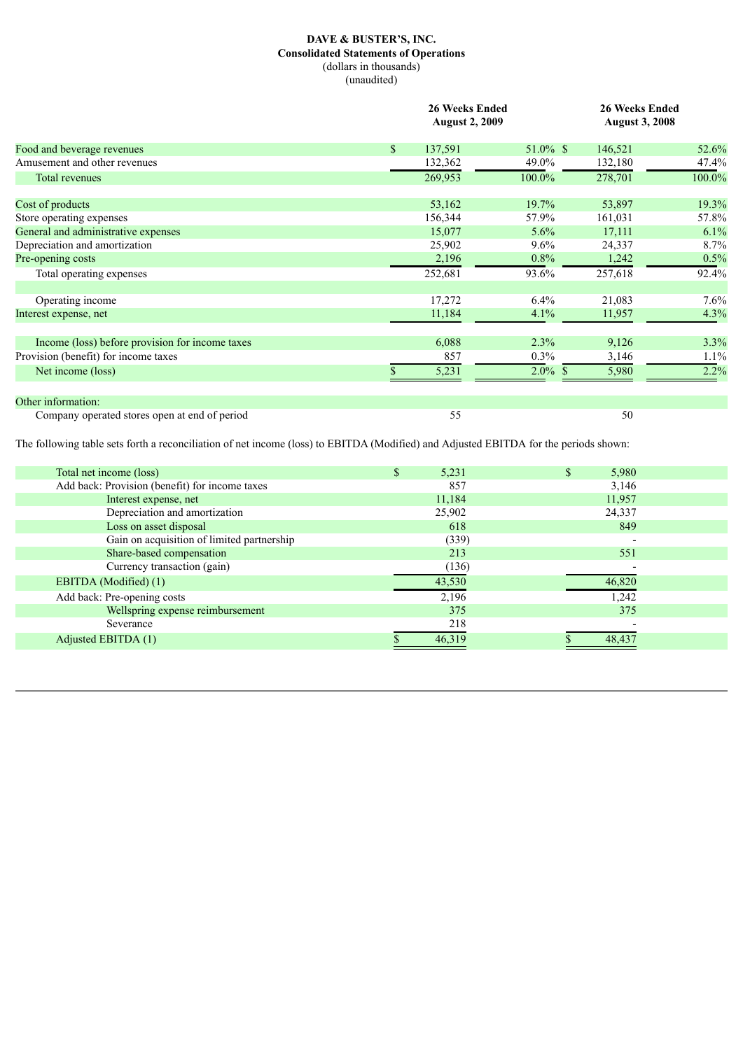## **DAVE & BUSTER'S, INC. Consolidated Statements of Operations** (dollars in thousands) (unaudited)

|                                                 |              | 26 Weeks Ended<br><b>August 2, 2009</b> |               |         | <b>26 Weeks Ended</b><br><b>August 3, 2008</b> |  |  |
|-------------------------------------------------|--------------|-----------------------------------------|---------------|---------|------------------------------------------------|--|--|
| Food and beverage revenues                      | $\mathbb{S}$ | 137,591                                 | $51.0\%$ \$   | 146,521 | 52.6%                                          |  |  |
| Amusement and other revenues                    |              | 132,362                                 | 49.0%         | 132,180 | 47.4%                                          |  |  |
| <b>Total revenues</b>                           |              | 269,953                                 | 100.0%        | 278,701 | 100.0%                                         |  |  |
| Cost of products                                |              | 53,162                                  | $19.7\%$      | 53,897  | 19.3%                                          |  |  |
| Store operating expenses                        |              | 156,344                                 | 57.9%         | 161,031 | 57.8%                                          |  |  |
| General and administrative expenses             |              | 15,077                                  | 5.6%          | 17,111  | 6.1%                                           |  |  |
| Depreciation and amortization                   |              | 25,902                                  | 9.6%          | 24,337  | 8.7%                                           |  |  |
| Pre-opening costs                               |              | 2,196                                   | $0.8\%$       | 1,242   | 0.5%                                           |  |  |
| Total operating expenses                        |              | 252,681                                 | 93.6%         | 257,618 | 92.4%                                          |  |  |
| Operating income                                |              | 17,272                                  | $6.4\%$       | 21,083  | 7.6%                                           |  |  |
| Interest expense, net                           |              | 11,184                                  | 4.1%          | 11,957  | 4.3%                                           |  |  |
| Income (loss) before provision for income taxes |              | 6,088                                   | 2.3%          | 9,126   | 3.3%                                           |  |  |
| Provision (benefit) for income taxes            |              | 857                                     | $0.3\%$       | 3,146   | 1.1%                                           |  |  |
| Net income (loss)                               |              | 5,231                                   | $2.0\%$<br>-S | 5,980   | 2.2%                                           |  |  |
| Other information:                              |              |                                         |               |         |                                                |  |  |
| Company operated stores open at end of period   |              | 55                                      |               | 50      |                                                |  |  |

The following table sets forth a reconciliation of net income (loss) to EBITDA (Modified) and Adjusted EBITDA for the periods shown:

| Total net income (loss)                        | 5,231  | 5,980  |
|------------------------------------------------|--------|--------|
| Add back: Provision (benefit) for income taxes | 857    | 3,146  |
| Interest expense, net                          | 11,184 | 11,957 |
| Depreciation and amortization                  | 25,902 | 24,337 |
| Loss on asset disposal                         | 618    | 849    |
| Gain on acquisition of limited partnership     | (339)  |        |
| Share-based compensation                       | 213    | 551    |
| Currency transaction (gain)                    | (136)  |        |
| EBITDA (Modified) (1)                          | 43,530 | 46,820 |
| Add back: Pre-opening costs                    | 2,196  | 1,242  |
| Wellspring expense reimbursement               | 375    | 375    |
| Severance                                      | 218    |        |
| Adjusted EBITDA (1)                            | 46,319 | 48.437 |